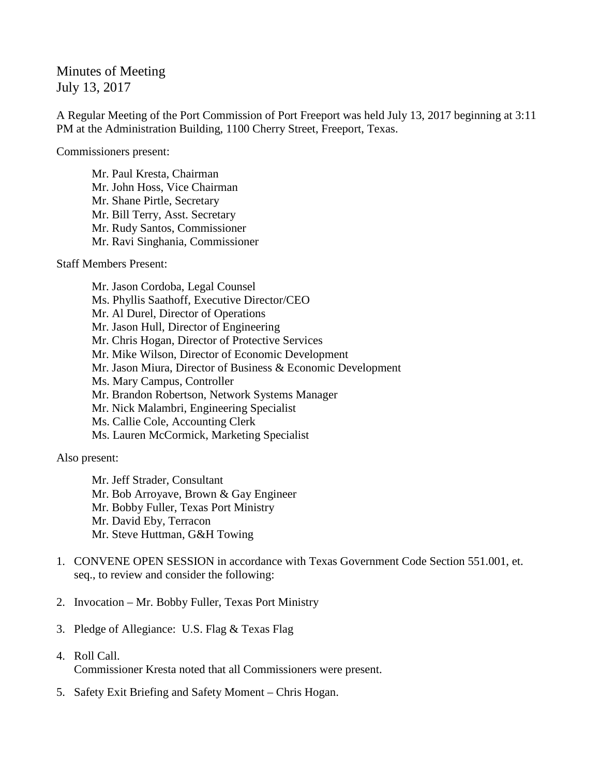Minutes of Meeting July 13, 2017

A Regular Meeting of the Port Commission of Port Freeport was held July 13, 2017 beginning at 3:11 PM at the Administration Building, 1100 Cherry Street, Freeport, Texas.

Commissioners present:

Mr. Paul Kresta, Chairman Mr. John Hoss, Vice Chairman Mr. Shane Pirtle, Secretary Mr. Bill Terry, Asst. Secretary Mr. Rudy Santos, Commissioner Mr. Ravi Singhania, Commissioner

Staff Members Present:

Mr. Jason Cordoba, Legal Counsel Ms. Phyllis Saathoff, Executive Director/CEO Mr. Al Durel, Director of Operations Mr. Jason Hull, Director of Engineering Mr. Chris Hogan, Director of Protective Services Mr. Mike Wilson, Director of Economic Development Mr. Jason Miura, Director of Business & Economic Development Ms. Mary Campus, Controller Mr. Brandon Robertson, Network Systems Manager Mr. Nick Malambri, Engineering Specialist Ms. Callie Cole, Accounting Clerk Ms. Lauren McCormick, Marketing Specialist

Also present:

Mr. Jeff Strader, Consultant Mr. Bob Arroyave, Brown & Gay Engineer Mr. Bobby Fuller, Texas Port Ministry Mr. David Eby, Terracon Mr. Steve Huttman, G&H Towing

- 1. CONVENE OPEN SESSION in accordance with Texas Government Code Section 551.001, et. seq., to review and consider the following:
- 2. Invocation Mr. Bobby Fuller, Texas Port Ministry
- 3. Pledge of Allegiance: U.S. Flag & Texas Flag
- 4. Roll Call. Commissioner Kresta noted that all Commissioners were present.
- 5. Safety Exit Briefing and Safety Moment Chris Hogan.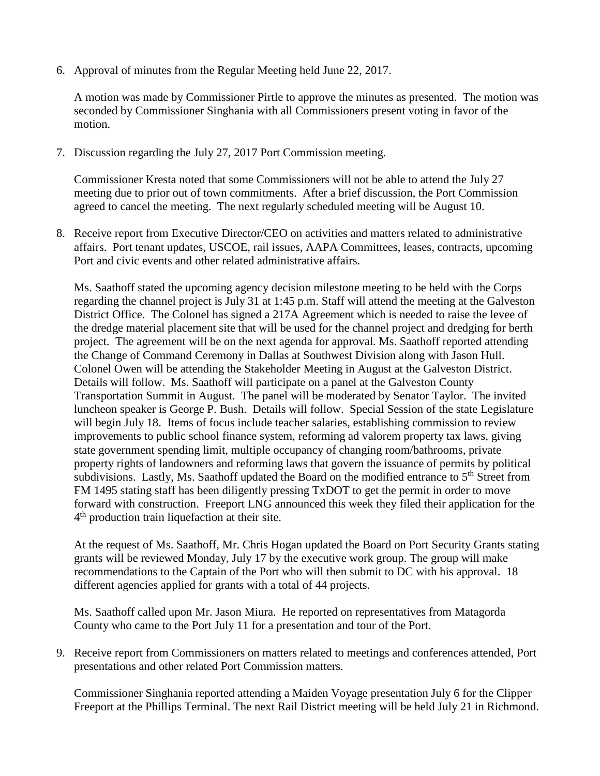6. Approval of minutes from the Regular Meeting held June 22, 2017.

A motion was made by Commissioner Pirtle to approve the minutes as presented. The motion was seconded by Commissioner Singhania with all Commissioners present voting in favor of the motion.

7. Discussion regarding the July 27, 2017 Port Commission meeting.

Commissioner Kresta noted that some Commissioners will not be able to attend the July 27 meeting due to prior out of town commitments. After a brief discussion, the Port Commission agreed to cancel the meeting. The next regularly scheduled meeting will be August 10.

8. Receive report from Executive Director/CEO on activities and matters related to administrative affairs. Port tenant updates, USCOE, rail issues, AAPA Committees, leases, contracts, upcoming Port and civic events and other related administrative affairs.

Ms. Saathoff stated the upcoming agency decision milestone meeting to be held with the Corps regarding the channel project is July 31 at 1:45 p.m. Staff will attend the meeting at the Galveston District Office. The Colonel has signed a 217A Agreement which is needed to raise the levee of the dredge material placement site that will be used for the channel project and dredging for berth project. The agreement will be on the next agenda for approval. Ms. Saathoff reported attending the Change of Command Ceremony in Dallas at Southwest Division along with Jason Hull. Colonel Owen will be attending the Stakeholder Meeting in August at the Galveston District. Details will follow. Ms. Saathoff will participate on a panel at the Galveston County Transportation Summit in August. The panel will be moderated by Senator Taylor. The invited luncheon speaker is George P. Bush. Details will follow. Special Session of the state Legislature will begin July 18. Items of focus include teacher salaries, establishing commission to review improvements to public school finance system, reforming ad valorem property tax laws, giving state government spending limit, multiple occupancy of changing room/bathrooms, private property rights of landowners and reforming laws that govern the issuance of permits by political subdivisions. Lastly, Ms. Saathoff updated the Board on the modified entrance to 5<sup>th</sup> Street from FM 1495 stating staff has been diligently pressing TxDOT to get the permit in order to move forward with construction. Freeport LNG announced this week they filed their application for the 4<sup>th</sup> production train liquefaction at their site.

At the request of Ms. Saathoff, Mr. Chris Hogan updated the Board on Port Security Grants stating grants will be reviewed Monday, July 17 by the executive work group. The group will make recommendations to the Captain of the Port who will then submit to DC with his approval. 18 different agencies applied for grants with a total of 44 projects.

Ms. Saathoff called upon Mr. Jason Miura. He reported on representatives from Matagorda County who came to the Port July 11 for a presentation and tour of the Port.

9. Receive report from Commissioners on matters related to meetings and conferences attended, Port presentations and other related Port Commission matters.

Commissioner Singhania reported attending a Maiden Voyage presentation July 6 for the Clipper Freeport at the Phillips Terminal. The next Rail District meeting will be held July 21 in Richmond.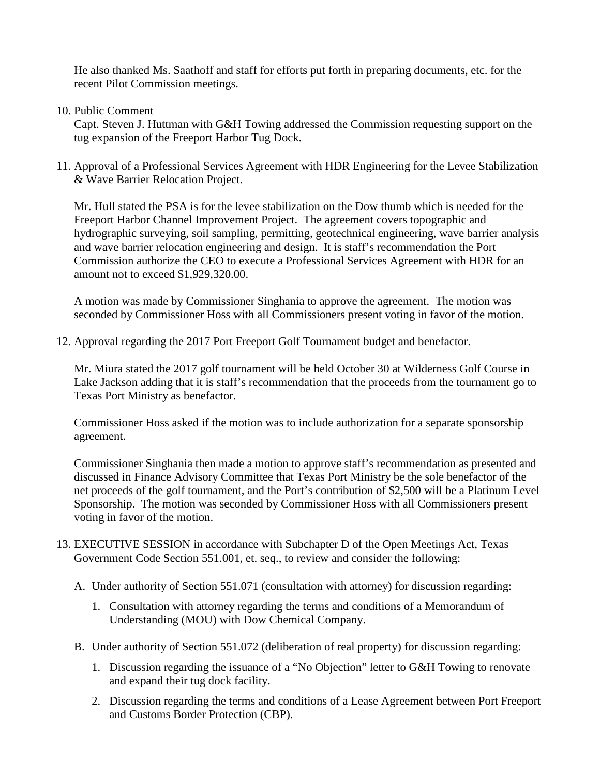He also thanked Ms. Saathoff and staff for efforts put forth in preparing documents, etc. for the recent Pilot Commission meetings.

10. Public Comment

Capt. Steven J. Huttman with G&H Towing addressed the Commission requesting support on the tug expansion of the Freeport Harbor Tug Dock.

11. Approval of a Professional Services Agreement with HDR Engineering for the Levee Stabilization & Wave Barrier Relocation Project.

Mr. Hull stated the PSA is for the levee stabilization on the Dow thumb which is needed for the Freeport Harbor Channel Improvement Project. The agreement covers topographic and hydrographic surveying, soil sampling, permitting, geotechnical engineering, wave barrier analysis and wave barrier relocation engineering and design. It is staff's recommendation the Port Commission authorize the CEO to execute a Professional Services Agreement with HDR for an amount not to exceed \$1,929,320.00.

A motion was made by Commissioner Singhania to approve the agreement. The motion was seconded by Commissioner Hoss with all Commissioners present voting in favor of the motion.

12. Approval regarding the 2017 Port Freeport Golf Tournament budget and benefactor.

Mr. Miura stated the 2017 golf tournament will be held October 30 at Wilderness Golf Course in Lake Jackson adding that it is staff's recommendation that the proceeds from the tournament go to Texas Port Ministry as benefactor.

Commissioner Hoss asked if the motion was to include authorization for a separate sponsorship agreement.

Commissioner Singhania then made a motion to approve staff's recommendation as presented and discussed in Finance Advisory Committee that Texas Port Ministry be the sole benefactor of the net proceeds of the golf tournament, and the Port's contribution of \$2,500 will be a Platinum Level Sponsorship. The motion was seconded by Commissioner Hoss with all Commissioners present voting in favor of the motion.

- 13. EXECUTIVE SESSION in accordance with Subchapter D of the Open Meetings Act, Texas Government Code Section 551.001, et. seq., to review and consider the following:
	- A. Under authority of Section 551.071 (consultation with attorney) for discussion regarding:
		- 1. Consultation with attorney regarding the terms and conditions of a Memorandum of Understanding (MOU) with Dow Chemical Company.
	- B. Under authority of Section 551.072 (deliberation of real property) for discussion regarding:
		- 1. Discussion regarding the issuance of a "No Objection" letter to G&H Towing to renovate and expand their tug dock facility.
		- 2. Discussion regarding the terms and conditions of a Lease Agreement between Port Freeport and Customs Border Protection (CBP).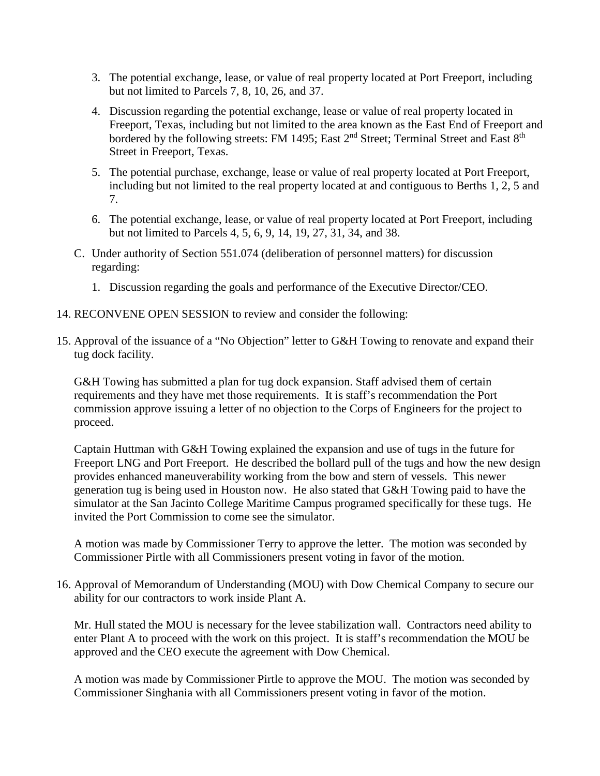- 3. The potential exchange, lease, or value of real property located at Port Freeport, including but not limited to Parcels 7, 8, 10, 26, and 37.
- 4. Discussion regarding the potential exchange, lease or value of real property located in Freeport, Texas, including but not limited to the area known as the East End of Freeport and bordered by the following streets: FM 1495; East 2<sup>nd</sup> Street; Terminal Street and East 8<sup>th</sup> Street in Freeport, Texas.
- 5. The potential purchase, exchange, lease or value of real property located at Port Freeport, including but not limited to the real property located at and contiguous to Berths 1, 2, 5 and 7.
- 6. The potential exchange, lease, or value of real property located at Port Freeport, including but not limited to Parcels 4, 5, 6, 9, 14, 19, 27, 31, 34, and 38.
- C. Under authority of Section 551.074 (deliberation of personnel matters) for discussion regarding:
	- 1. Discussion regarding the goals and performance of the Executive Director/CEO.
- 14. RECONVENE OPEN SESSION to review and consider the following:
- 15. Approval of the issuance of a "No Objection" letter to G&H Towing to renovate and expand their tug dock facility.

G&H Towing has submitted a plan for tug dock expansion. Staff advised them of certain requirements and they have met those requirements. It is staff's recommendation the Port commission approve issuing a letter of no objection to the Corps of Engineers for the project to proceed.

Captain Huttman with G&H Towing explained the expansion and use of tugs in the future for Freeport LNG and Port Freeport. He described the bollard pull of the tugs and how the new design provides enhanced maneuverability working from the bow and stern of vessels. This newer generation tug is being used in Houston now. He also stated that G&H Towing paid to have the simulator at the San Jacinto College Maritime Campus programed specifically for these tugs. He invited the Port Commission to come see the simulator.

A motion was made by Commissioner Terry to approve the letter. The motion was seconded by Commissioner Pirtle with all Commissioners present voting in favor of the motion.

16. Approval of Memorandum of Understanding (MOU) with Dow Chemical Company to secure our ability for our contractors to work inside Plant A.

Mr. Hull stated the MOU is necessary for the levee stabilization wall. Contractors need ability to enter Plant A to proceed with the work on this project. It is staff's recommendation the MOU be approved and the CEO execute the agreement with Dow Chemical.

A motion was made by Commissioner Pirtle to approve the MOU. The motion was seconded by Commissioner Singhania with all Commissioners present voting in favor of the motion.